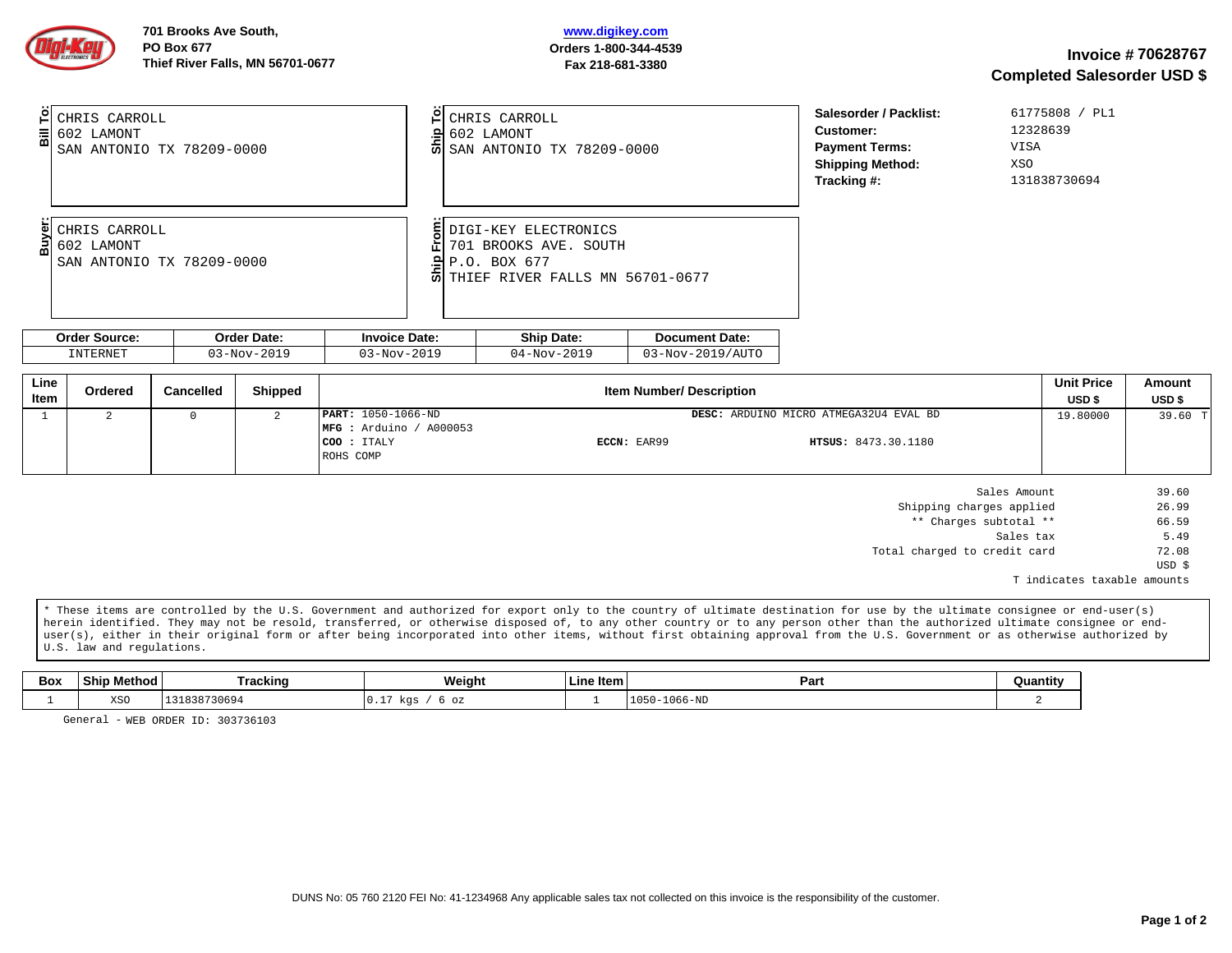| 61775808 / PL1<br>Salesorder / Packlist:<br>입 CHRIS CARROLL<br>CHRIS CARROLL<br>12328639<br><b>Customer:</b><br>$\frac{1}{20}$ 602 LAMONT<br>$\frac{12}{50}$ 602 LAMONT<br>5 SAN ANTONIO TX 78209-0000<br>VISA<br><b>Payment Terms:</b><br>SAN ANTONIO TX 78209-0000<br>XSO<br><b>Shipping Method:</b><br>Tracking #:<br>131838730694<br><b>§DIGI-KEY ELECTRONICS</b><br>CHRIS CARROLL<br>2002 LAMONT<br>701 BROOKS AVE, SOUTH<br>음 P.O. BOX 677<br>- 5 THIEF RIVER FALLS MN 56701-0677<br>SAN ANTONIO TX 78209-0000 | 701 Brooks Ave South,<br><b>PO Box 677</b><br>Thief River Falls, MN 56701-0677 | www.digikey.com<br>Orders 1-800-344-4539<br>Fax 218-681-3380 |  | <b>Invoice #70628767</b><br><b>Completed Salesorder USD \$</b> |  |
|----------------------------------------------------------------------------------------------------------------------------------------------------------------------------------------------------------------------------------------------------------------------------------------------------------------------------------------------------------------------------------------------------------------------------------------------------------------------------------------------------------------------|--------------------------------------------------------------------------------|--------------------------------------------------------------|--|----------------------------------------------------------------|--|
|                                                                                                                                                                                                                                                                                                                                                                                                                                                                                                                      |                                                                                |                                                              |  |                                                                |  |
|                                                                                                                                                                                                                                                                                                                                                                                                                                                                                                                      |                                                                                |                                                              |  |                                                                |  |
| <b>Order Source:</b><br><b>Order Date:</b><br><b>Ship Date:</b><br><b>Invoice Date:</b><br><b>Document Date:</b>                                                                                                                                                                                                                                                                                                                                                                                                     |                                                                                |                                                              |  |                                                                |  |
| <b>INTERNET</b><br>03-Nov-2019<br>03-Nov-2019<br>03-Nov-2019/AUT0<br>04-Nov-2019                                                                                                                                                                                                                                                                                                                                                                                                                                     |                                                                                |                                                              |  |                                                                |  |

| Line<br>Item | Ordered | Cancelled | <b>Shipped</b> | <b>Item Number/ Description</b>                                                   |             |                                                                      | <b>Unit Price</b><br>USD <sub>\$</sub> | Amount<br>USD <sub>\$</sub> |
|--------------|---------|-----------|----------------|-----------------------------------------------------------------------------------|-------------|----------------------------------------------------------------------|----------------------------------------|-----------------------------|
|              |         |           |                | <b>PART: 1050-1066-ND</b><br>$MFG:$ Arduino / A000053<br>COO : ITALY<br>ROHS COMP | ECCN: EAR99 | DESC: ARDUINO MICRO ATMEGA32U4 EVAL BD<br><b>HTSUS: 8473.30.1180</b> | 19.80000                               | 39.60 T                     |

| 39.60  | Sales Amount                 |
|--------|------------------------------|
| 26.99  | Shipping charges applied     |
| 66.59  | ** Charges subtotal **       |
| 5.49   | Sales tax                    |
| 72.08  | Total charged to credit card |
| USD \$ |                              |
|        |                              |

T indicates taxable amounts

\* These items are controlled by the U.S. Government and authorized for export only to the country of ultimate destination for use by the ultimate consignee or end-user(s) herein identified. They may not be resold, transferred, or otherwise disposed of, to any other country or to any person other than the authorized ultimate consignee or enduser(s), either in their original form or after being incorporated into other items, without first obtaining approval from the U.S. Government or as otherwise authorized by U.S. law and regulations.

| Box | $ -$<br>Ship<br>viethod | Tracking            | <b>Weight</b>      | Line Item | Par.                               | <b>Quantity</b> |
|-----|-------------------------|---------------------|--------------------|-----------|------------------------------------|-----------------|
|     | XS <sub>0</sub>         | 730694<br>2207<br>. | kas<br>OZ<br>ב. טי |           | $1066 - h$<br>$\mathbf{A}$<br>1050 |                 |

General - WEB ORDER ID: 303736103